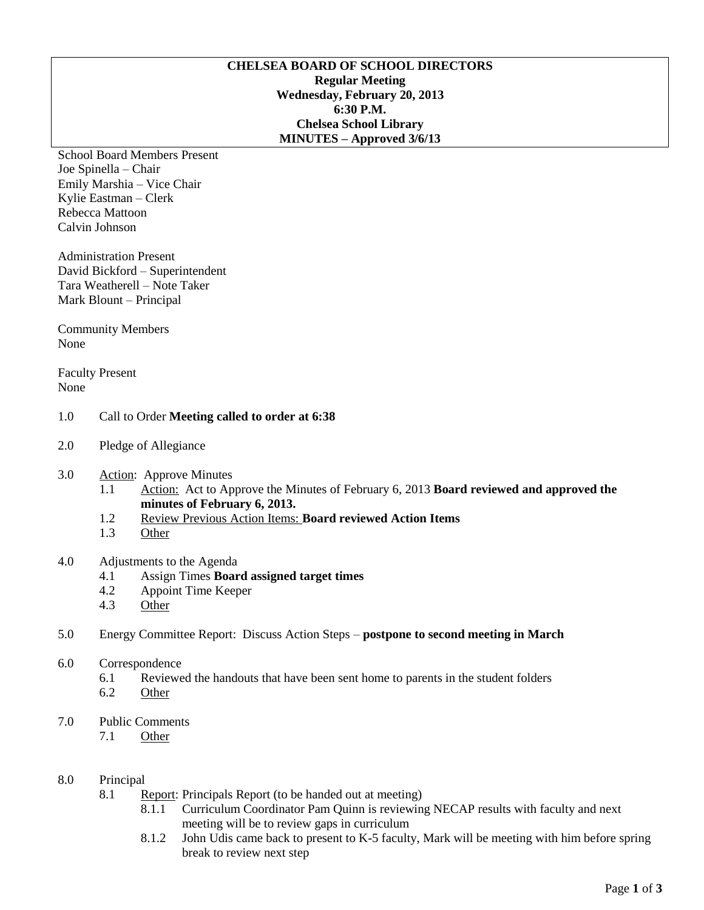## **CHELSEA BOARD OF SCHOOL DIRECTORS Regular Meeting Wednesday, February 20, 2013 6:30 P.M. Chelsea School Library MINUTES – Approved 3/6/13**

School Board Members Present Joe Spinella – Chair Emily Marshia – Vice Chair Kylie Eastman – Clerk Rebecca Mattoon Calvin Johnson

Administration Present David Bickford – Superintendent Tara Weatherell – Note Taker Mark Blount – Principal

Community Members None

Faculty Present None

## 1.0 Call to Order **Meeting called to order at 6:38**

- 2.0 Pledge of Allegiance
- 3.0 Action: Approve Minutes
	- 1.1 Action: Act to Approve the Minutes of February 6, 2013 **Board reviewed and approved the minutes of February 6, 2013.**
	- 1.2 Review Previous Action Items: **Board reviewed Action Items**
	- 1.3 Other

# 4.0 Adjustments to the Agenda

- 4.1 Assign Times **Board assigned target times**
- 4.2 Appoint Time Keeper
- 4.3 Other

## 5.0 Energy Committee Report: Discuss Action Steps – **postpone to second meeting in March**

- 6.0 Correspondence
	- 6.1 Reviewed the handouts that have been sent home to parents in the student folders
	- 6.2 Other
- 7.0 Public Comments
	- 7.1 Other

## 8.0 Principal

- 8.1 Report: Principals Report (to be handed out at meeting)
	- 8.1.1 Curriculum Coordinator Pam Quinn is reviewing NECAP results with faculty and next meeting will be to review gaps in curriculum
	- 8.1.2 John Udis came back to present to K-5 faculty, Mark will be meeting with him before spring break to review next step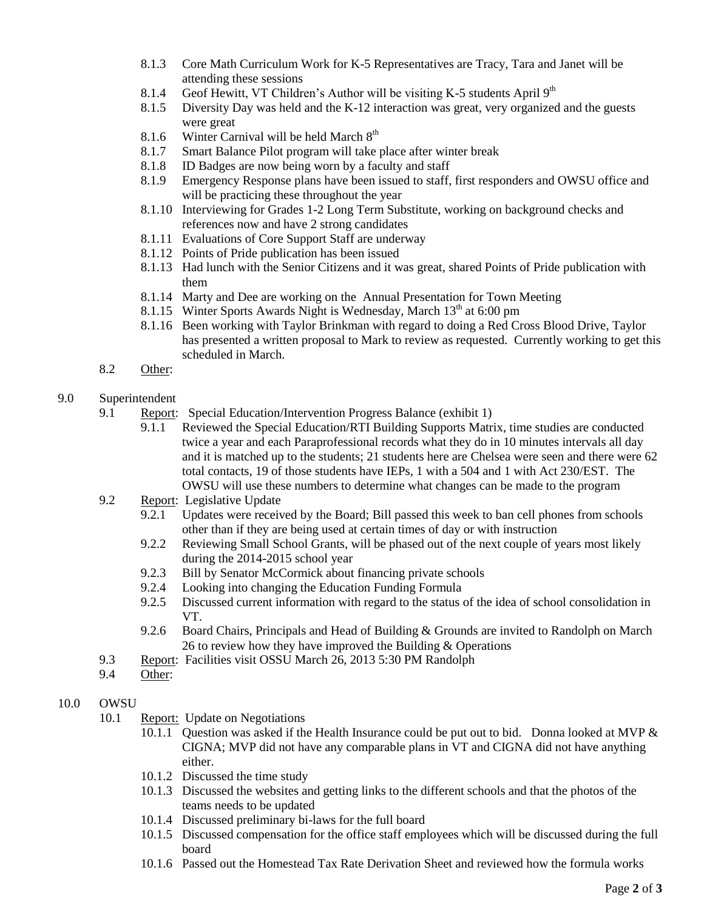- 8.1.3 Core Math Curriculum Work for K-5 Representatives are Tracy, Tara and Janet will be attending these sessions
- 8.1.4 Geof Hewitt, VT Children's Author will be visiting K-5 students April  $9<sup>th</sup>$
- 8.1.5 Diversity Day was held and the K-12 interaction was great, very organized and the guests were great
- 8.1.6 Winter Carnival will be held March  $8<sup>th</sup>$
- 8.1.7 Smart Balance Pilot program will take place after winter break
- 8.1.8 ID Badges are now being worn by a faculty and staff
- 8.1.9 Emergency Response plans have been issued to staff, first responders and OWSU office and will be practicing these throughout the year
- 8.1.10 Interviewing for Grades 1-2 Long Term Substitute, working on background checks and references now and have 2 strong candidates
- 8.1.11 Evaluations of Core Support Staff are underway
- 8.1.12 Points of Pride publication has been issued
- 8.1.13 Had lunch with the Senior Citizens and it was great, shared Points of Pride publication with them
- 8.1.14 Marty and Dee are working on the Annual Presentation for Town Meeting
- 8.1.15 Winter Sports Awards Night is Wednesday, March  $13<sup>th</sup>$  at 6:00 pm
- 8.1.16 Been working with Taylor Brinkman with regard to doing a Red Cross Blood Drive, Taylor has presented a written proposal to Mark to review as requested. Currently working to get this scheduled in March.
- 8.2 Other:
- 9.0 Superintendent
	- 9.1 Report: Special Education/Intervention Progress Balance (exhibit 1)
		- 9.1.1 Reviewed the Special Education/RTI Building Supports Matrix, time studies are conducted twice a year and each Paraprofessional records what they do in 10 minutes intervals all day and it is matched up to the students; 21 students here are Chelsea were seen and there were 62 total contacts, 19 of those students have IEPs, 1 with a 504 and 1 with Act 230/EST. The OWSU will use these numbers to determine what changes can be made to the program
	- 9.2 Report: Legislative Update
		- 9.2.1 Updates were received by the Board; Bill passed this week to ban cell phones from schools other than if they are being used at certain times of day or with instruction
		- 9.2.2 Reviewing Small School Grants, will be phased out of the next couple of years most likely during the 2014-2015 school year
		- 9.2.3 Bill by Senator McCormick about financing private schools
		- 9.2.4 Looking into changing the Education Funding Formula
		- 9.2.5 Discussed current information with regard to the status of the idea of school consolidation in VT.
		- 9.2.6 Board Chairs, Principals and Head of Building & Grounds are invited to Randolph on March 26 to review how they have improved the Building & Operations
	- 9.3 Report: Facilities visit OSSU March 26, 2013 5:30 PM Randolph
	- 9.4 Other:

# 10.0 OWSU

- 10.1 Report: Update on Negotiations
	- 10.1.1 Question was asked if the Health Insurance could be put out to bid. Donna looked at MVP & CIGNA; MVP did not have any comparable plans in VT and CIGNA did not have anything either.
	- 10.1.2 Discussed the time study
	- 10.1.3 Discussed the websites and getting links to the different schools and that the photos of the teams needs to be updated
	- 10.1.4 Discussed preliminary bi-laws for the full board
	- 10.1.5 Discussed compensation for the office staff employees which will be discussed during the full board
	- 10.1.6 Passed out the Homestead Tax Rate Derivation Sheet and reviewed how the formula works